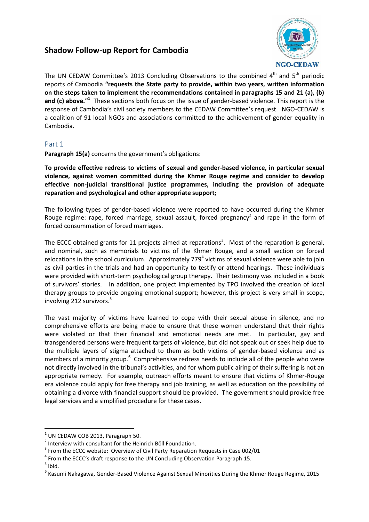## **Shadow Follow-up Report for Cambodia**



The UN CEDAW Committee's 2013 Concluding Observations to the combined  $4<sup>th</sup>$  and  $5<sup>th</sup>$  periodic reports of Cambodia **"requests the State party to provide, within two years, written information on the steps taken to implement the recommendations contained in paragraphs 15 and 21 (a), (b)**  and (c) above."<sup>1</sup> These sections both focus on the issue of gender-based violence. This report is the response of Cambodia's civil society members to the CEDAW Committee's request. NGO-CEDAW is a coalition of 91 local NGOs and associations committed to the achievement of gender equality in Cambodia.

## Part 1

**Paragraph 15(a)** concerns the government's obligations:

**To provide effective redress to victims of sexual and gender-based violence, in particular sexual violence, against women committed during the Khmer Rouge regime and consider to develop effective non-judicial transitional justice programmes, including the provision of adequate reparation and psychological and other appropriate support;**

The following types of gender-based violence were reported to have occurred during the Khmer Rouge regime: rape, forced marriage, sexual assault, forced pregnancy<sup>2</sup> and rape in the form of forced consummation of forced marriages.

The ECCC obtained grants for 11 projects aimed at reparations<sup>3</sup>. Most of the reparation is general, and nominal, such as memorials to victims of the Khmer Rouge, and a small section on forced relocations in the school curriculum. Approximately 779<sup>4</sup> victims of sexual violence were able to join as civil parties in the trials and had an opportunity to testify or attend hearings. These individuals were provided with short-term psychological group therapy. Their testimony was included in a book of survivors' stories. In addition, one project implemented by TPO involved the creation of local therapy groups to provide ongoing emotional support; however, this project is very small in scope, involving 212 survivors.<sup>5</sup>

The vast majority of victims have learned to cope with their sexual abuse in silence, and no comprehensive efforts are being made to ensure that these women understand that their rights were violated or that their financial and emotional needs are met. In particular, gay and transgendered persons were frequent targets of violence, but did not speak out or seek help due to the multiple layers of stigma attached to them as both victims of gender-based violence and as members of a minority group.<sup>6</sup> Comprehensive redress needs to include all of the people who were not directly involved in the tribunal's activities, and for whom public airing of their suffering is not an appropriate remedy. For example, outreach efforts meant to ensure that victims of Khmer-Rouge era violence could apply for free therapy and job training, as well as education on the possibility of obtaining a divorce with financial support should be provided. The government should provide free legal services and a simplified procedure for these cases.

<sup>1</sup> UN CEDAW COB 2013, Paragraph 50.

<sup>&</sup>lt;sup>2</sup> Interview with consultant for the Heinrich Böll Foundation.

 $3$  From the ECCC website: Overview of Civil Party Reparation Requests in Case 002/01

 $<sup>4</sup>$  From the ECCC's draft response to the UN Concluding Observation Paragraph 15.</sup>

 $<sup>5</sup>$  Ibid.</sup>

<sup>6</sup> Kasumi Nakagawa, Gender-Based Violence Against Sexual Minorities During the Khmer Rouge Regime, 2015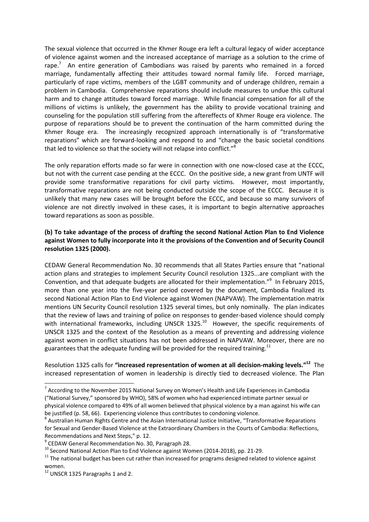The sexual violence that occurred in the Khmer Rouge era left a cultural legacy of wider acceptance of violence against women and the increased acceptance of marriage as a solution to the crime of rape.<sup>7</sup> An entire generation of Cambodians was raised by parents who remained in a forced marriage, fundamentally affecting their attitudes toward normal family life. Forced marriage, particularly of rape victims, members of the LGBT community and of underage children, remain a problem in Cambodia. Comprehensive reparations should include measures to undue this cultural harm and to change attitudes toward forced marriage. While financial compensation for all of the millions of victims is unlikely, the government has the ability to provide vocational training and counseling for the population still suffering from the aftereffects of Khmer Rouge era violence. The purpose of reparations should be to prevent the continuation of the harm committed during the Khmer Rouge era. The increasingly recognized approach internationally is of "transformative reparations" which are forward-looking and respond to and "change the basic societal conditions that led to violence so that the society will not relapse into conflict."<sup>8</sup>

The only reparation efforts made so far were in connection with one now-closed case at the ECCC, but not with the current case pending at the ECCC. On the positive side, a new grant from UNTF will provide some transformative reparations for civil party victims. However, most importantly, transformative reparations are not being conducted outside the scope of the ECCC. Because it is unlikely that many new cases will be brought before the ECCC, and because so many survivors of violence are not directly involved in these cases, it is important to begin alternative approaches toward reparations as soon as possible.

### **(b) To take advantage of the process of drafting the second National Action Plan to End Violence against Women to fully incorporate into it the provisions of the Convention and of Security Council resolution 1325 (2000).**

CEDAW General Recommendation No. 30 recommends that all States Parties ensure that "national action plans and strategies to implement Security Council resolution 1325...are compliant with the Convention, and that adequate budgets are allocated for their implementation."<sup>9</sup> In February 2015, more than one year into the five-year period covered by the document, Cambodia finalized its second National Action Plan to End Violence against Women (NAPVAW). The implementation matrix mentions UN Security Council resolution 1325 several times, but only nominally. The plan indicates that the review of laws and training of police on responses to gender-based violence should comply with international frameworks, including UNSCR  $1325$ .<sup>10</sup> However, the specific requirements of UNSCR 1325 and the context of the Resolution as a means of preventing and addressing violence against women in conflict situations has not been addressed in NAPVAW. Moreover, there are no guarantees that the adequate funding will be provided for the required training.<sup>11</sup>

Resolution 1325 calls for **"increased representation of women at all decision-making levels." <sup>12</sup>** The increased representation of women in leadership is directly tied to decreased violence. The Plan

 $^7$  According to the November 2015 National Survey on Women's Health and Life Experiences in Cambodia ("National Survey," sponsored by WHO), 58% of women who had experienced intimate partner sexual or physical violence compared to 49% of all women believed that physical violence by a man against his wife can be justified (p. 58, 66). Experiencing violence thus contributes to condoning violence.

<sup>&</sup>lt;sup>8</sup> Australian Human Rights Centre and the Asian International Justice Initiative, "Transformative Reparations for Sexual and Gender-Based Violence at the Extraordinary Chambers in the Courts of Cambodia: Reflections, Recommendations and Next Steps," p. 12.

<sup>&</sup>lt;sup>9</sup> CEDAW General Recommendation No. 30, Paragraph 28.

<sup>&</sup>lt;sup>10</sup> Second National Action Plan to End Violence against Women (2014-2018), pp. 21-29.

 $11$  The national budget has been cut rather than increased for programs designed related to violence against women.

<sup>&</sup>lt;sup>12</sup> UNSCR 1325 Paragraphs 1 and 2.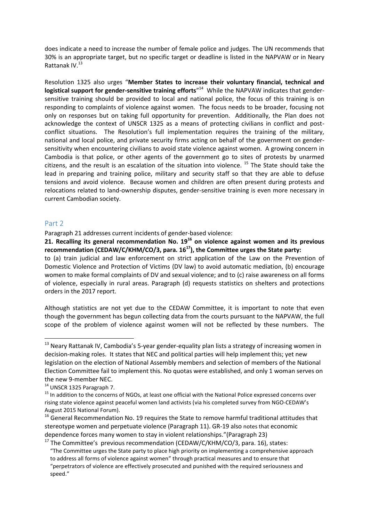does indicate a need to increase the number of female police and judges. The UN recommends that 30% is an appropriate target, but no specific target or deadline is listed in the NAPVAW or in Neary Rattanak IV. 13

Resolution 1325 also urges "**Member States to increase their voluntary financial, technical and**  logistical support for gender-sensitive training efforts<sup>"14</sup> While the NAPVAW indicates that gendersensitive training should be provided to local and national police, the focus of this training is on responding to complaints of violence against women. The focus needs to be broader, focusing not only on responses but on taking full opportunity for prevention. Additionally, the Plan does not acknowledge the context of UNSCR 1325 as a means of protecting civilians in conflict and postconflict situations. The Resolution's full implementation requires the training of the military, national and local police, and private security firms acting on behalf of the government on gendersensitivity when encountering civilians to avoid state violence against women. A growing concern in Cambodia is that police, or other agents of the government go to sites of protests by unarmed citizens, and the result is an escalation of the situation into violence.  $15$  The State should take the lead in preparing and training police, military and security staff so that they are able to defuse tensions and avoid violence. Because women and children are often present during protests and relocations related to land-ownership disputes, gender-sensitive training is even more necessary in current Cambodian society.

#### Part 2

1

Paragraph 21 addresses current incidents of gender-based violence:

**21. Recalling its general recommendation No. 19<sup>16</sup> on violence against women and its previous recommendation (CEDAW/C/KHM/CO/3, para. 16<sup>17</sup>), the Committee urges the State party:**

to (a) train judicial and law enforcement on strict application of the Law on the Prevention of Domestic Violence and Protection of Victims (DV law) to avoid automatic mediation, (b) encourage women to make formal complaints of DV and sexual violence; and to (c) raise awareness on all forms of violence, especially in rural areas. Paragraph (d) requests statistics on shelters and protections orders in the 2017 report.

Although statistics are not yet due to the CEDAW Committee, it is important to note that even though the government has begun collecting data from the courts pursuant to the NAPVAW, the full scope of the problem of violence against women will not be reflected by these numbers. The

<sup>&</sup>lt;sup>13</sup> Neary Rattanak IV, Cambodia's 5-year gender-equality plan lists a strategy of increasing women in decision-making roles. It states that NEC and political parties will help implement this; yet new legislation on the election of National Assembly members and selection of members of the National Election Committee fail to implement this. No quotas were established, and only 1 woman serves on the new 9-member NEC.

<sup>&</sup>lt;sup>14</sup> UNSCR 1325 Paragraph 7.

<sup>&</sup>lt;sup>15</sup> In addition to the concerns of NGOs, at least one official with the National Police expressed concerns over rising state violence against peaceful women land activists (via his completed survey from NGO-CEDAW's August 2015 National Forum).

<sup>&</sup>lt;sup>16</sup> General Recommendation No. 19 requires the State to remove harmful traditional attitudes that stereotype women and perpetuate violence (Paragraph 11). GR-19 also notes that economic dependence forces many women to stay in violent relationships."(Paragraph 23)

 $17$  The Committee's previous recommendation (CEDAW/C/KHM/CO/3, para. 16), states: "The Committee urges the State party to place high priority on implementing a comprehensive approach to address all forms of violence against women" through practical measures and to ensure that "perpetrators of violence are effectively prosecuted and punished with the required seriousness and speed."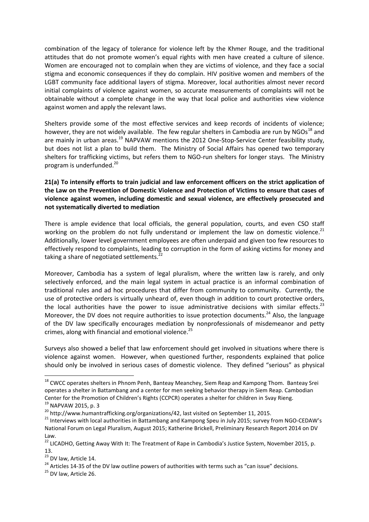combination of the legacy of tolerance for violence left by the Khmer Rouge, and the traditional attitudes that do not promote women's equal rights with men have created a culture of silence. Women are encouraged not to complain when they are victims of violence, and they face a social stigma and economic consequences if they do complain. HIV positive women and members of the LGBT community face additional layers of stigma. Moreover, local authorities almost never record initial complaints of violence against women, so accurate measurements of complaints will not be obtainable without a complete change in the way that local police and authorities view violence against women and apply the relevant laws.

Shelters provide some of the most effective services and keep records of incidents of violence; however, they are not widely available. The few regular shelters in Cambodia are run by NGOs<sup>18</sup> and are mainly in urban areas.<sup>19</sup> NAPVAW mentions the 2012 One-Stop-Service Center feasibility study, but does not list a plan to build them. The Ministry of Social Affairs has opened two temporary shelters for trafficking victims, but refers them to NGO-run shelters for longer stays. The Ministry program is underfunded.<sup>20</sup>

## **21(a) To intensify efforts to train judicial and law enforcement officers on the strict application of the Law on the Prevention of Domestic Violence and Protection of Victims to ensure that cases of violence against women, including domestic and sexual violence, are effectively prosecuted and not systematically diverted to mediation**

There is ample evidence that local officials, the general population, courts, and even CSO staff working on the problem do not fully understand or implement the law on domestic violence.<sup>21</sup> Additionally, lower level government employees are often underpaid and given too few resources to effectively respond to complaints, leading to corruption in the form of asking victims for money and taking a share of negotiated settlements.<sup>22</sup>

Moreover, Cambodia has a system of legal pluralism, where the written law is rarely, and only selectively enforced, and the main legal system in actual practice is an informal combination of traditional rules and ad hoc procedures that differ from community to community. Currently, the use of protective orders is virtually unheard of, even though in addition to court protective orders, the local authorities have the power to issue administrative decisions with similar effects.<sup>23</sup> Moreover, the DV does not require authorities to issue protection documents.<sup>24</sup> Also, the language of the DV law specifically encourages mediation by nonprofessionals of misdemeanor and petty crimes, along with financial and emotional violence.<sup>25</sup>

Surveys also showed a belief that law enforcement should get involved in situations where there is violence against women. However, when questioned further, respondents explained that police should only be involved in serious cases of domestic violence. They defined "serious" as physical

<sup>24</sup> Articles 14-35 of the DV law outline powers of authorities with terms such as "can issue" decisions.

<sup>1</sup> <sup>18</sup> CWCC operates shelters in Phnom Penh, Banteay Meanchey, Siem Reap and Kampong Thom. Banteay Srei operates a shelter in Battambang and a center for men seeking behavior therapy in Siem Reap. Cambodian Center for the Promotion of Children's Rights (CCPCR) operates a shelter for children in Svay Rieng.

<sup>19</sup> NAPVAW 2015, p. 3

<sup>&</sup>lt;sup>20</sup> http://www.humantrafficking.org/organizations/42, last visited on September 11, 2015.

<sup>&</sup>lt;sup>21</sup> Interviews with local authorities in Battambang and Kampong Speu in July 2015; survey from NGO-CEDAW's National Forum on Legal Pluralism, August 2015; Katherine Brickell, Preliminary Research Report 2014 on DV Law.

<sup>&</sup>lt;sup>22</sup> LICADHO, Getting Away With It: The Treatment of Rape in Cambodia's Justice System, November 2015, p. 13.

<sup>&</sup>lt;sup>23</sup> DV law, Article 14.

<sup>&</sup>lt;sup>25</sup> DV law, Article 26.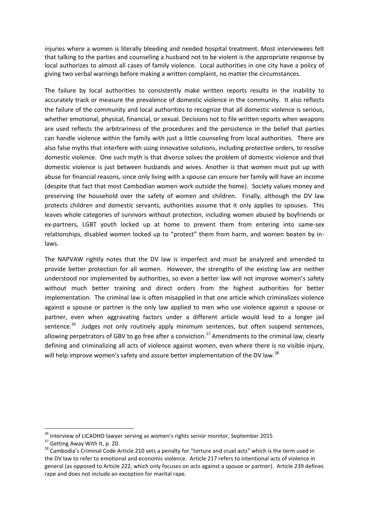injuries where a women is literally bleeding and needed hospital treatment. Most interviewees felt that talking to the parties and counseling a husband not to be violent is the appropriate response by local authorizes to almost all cases of family violence. Local authorities in one city have a policy of giving two verbal warnings before making a written complaint, no matter the circumstances.

The failure by local authorities to consistently make written reports results in the inability to accurately track or measure the prevalence of domestic violence in the community. It also reflects the failure of the community and local authorities to recognize that all domestic violence is serious, whether emotional, physical, financial, or sexual. Decisions not to file written reports when weapons are used reflects the arbitrariness of the procedures and the persistence in the belief that parties can handle violence within the family with just a little counseling from local authorities. There are also false myths that interfere with using innovative solutions, including protective orders, to resolve domestic violence. One such myth is that divorce solves the problem of domestic violence and that domestic violence is just between husbands and wives. Another is that women must put up with abuse for financial reasons, since only living with a spouse can ensure her family will have an income (despite that fact that most Cambodian women work outside the home). Society values money and preserving the household over the safety of women and children. Finally, although the DV law protects children and domestic servants, authorities assume that it only applies to spouses. This leaves whole categories of survivors without protection, including women abused by boyfriends or ex-partners, LGBT youth locked up at home to prevent them from entering into same-sex relationships, disabled women locked up to "protect" them from harm, and women beaten by inlaws.

The NAPVAW rightly notes that the DV law is imperfect and must be analyzed and amended to provide better protection for all women. However, the strengths of the existing law are neither understood nor implemented by authorities, so even a better law will not improve women's safety without much better training and direct orders from the highest authorities for better implementation. The criminal law is often misapplied in that one article which criminalizes violence against a spouse or partner is the only law applied to men who use violence against a spouse or partner, even when aggravating factors under a different article would lead to a longer jail sentence.<sup>26</sup> Judges not only routinely apply minimum sentences, but often suspend sentences, allowing perpetrators of GBV to go free after a conviction.<sup>27</sup> Amendments to the criminal law, clearly defining and criminalizing all acts of violence against women, even where there is no visible injury, will help improve women's safety and assure better implementation of the DV law.<sup>28</sup>

<sup>&</sup>lt;sup>26</sup> Interview of LICADHO lawyer serving as women's rights senior monitor, September 2015

<sup>&</sup>lt;sup>27</sup> Getting Away With It, p. 20.

<sup>&</sup>lt;sup>28</sup> Cambodia's Criminal Code Article 210 sets a penalty for "torture and cruel acts" which is the term used in the DV law to refer to emotional and economic violence. Article 217 refers to intentional acts of violence in general (as opposed to Article 222, which only focuses on acts against a spouse or partner). Article 239 defines rape and does not include an exception for marital rape.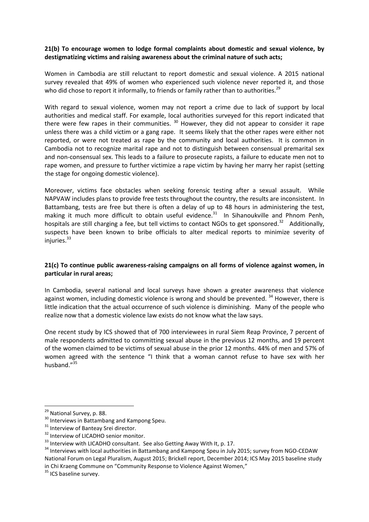#### **21(b) To encourage women to lodge formal complaints about domestic and sexual violence, by destigmatizing victims and raising awareness about the criminal nature of such acts;**

Women in Cambodia are still reluctant to report domestic and sexual violence. A 2015 national survey revealed that 49% of women who experienced such violence never reported it, and those who did chose to report it informally, to friends or family rather than to authorities.<sup>29</sup>

With regard to sexual violence, women may not report a crime due to lack of support by local authorities and medical staff. For example, local authorities surveyed for this report indicated that there were few rapes in their communities.  $30$  However, they did not appear to consider it rape unless there was a child victim or a gang rape. It seems likely that the other rapes were either not reported, or were not treated as rape by the community and local authorities. It is common in Cambodia not to recognize marital rape and not to distinguish between consensual premarital sex and non-consensual sex. This leads to a failure to prosecute rapists, a failure to educate men not to rape women, and pressure to further victimize a rape victim by having her marry her rapist (setting the stage for ongoing domestic violence).

Moreover, victims face obstacles when seeking forensic testing after a sexual assault. While NAPVAW includes plans to provide free tests throughout the country, the results are inconsistent. In Battambang, tests are free but there is often a delay of up to 48 hours in administering the test, making it much more difficult to obtain useful evidence.<sup>31</sup> In Sihanoukville and Phnom Penh, hospitals are still charging a fee, but tell victims to contact NGOs to get sponsored.<sup>32</sup> Additionally, suspects have been known to bribe officials to alter medical reports to minimize severity of injuries. $33$ 

#### **21(c) To continue public awareness-raising campaigns on all forms of violence against women, in particular in rural areas;**

In Cambodia, several national and local surveys have shown a greater awareness that violence against women, including domestic violence is wrong and should be prevented.<sup>34</sup> However, there is little indication that the actual occurrence of such violence is diminishing. Many of the people who realize now that a domestic violence law exists do not know what the law says.

One recent study by ICS showed that of 700 interviewees in rural Siem Reap Province, 7 percent of male respondents admitted to committing sexual abuse in the previous 12 months, and 19 percent of the women claimed to be victims of sexual abuse in the prior 12 months. 44% of men and 57% of women agreed with the sentence "I think that a woman cannot refuse to have sex with her husband."<sup>35</sup>

 $\overline{a}$ 

<sup>&</sup>lt;sup>29</sup> National Survey, p. 88.

<sup>&</sup>lt;sup>30</sup> Interviews in Battambang and Kampong Speu.

<sup>&</sup>lt;sup>31</sup> Interview of Banteay Srei director.

<sup>&</sup>lt;sup>32</sup> Interview of LICADHO senior monitor.

<sup>&</sup>lt;sup>33</sup> Interview with LICADHO consultant. See also Getting Away With It, p. 17.

<sup>&</sup>lt;sup>34</sup> Interviews with local authorities in Battambang and Kampong Speu in July 2015; survey from NGO-CEDAW National Forum on Legal Pluralism, August 2015; Brickell report, December 2014; ICS May 2015 baseline study in Chi Kraeng Commune on "Community Response to Violence Against Women,"

 $35$  ICS baseline survey.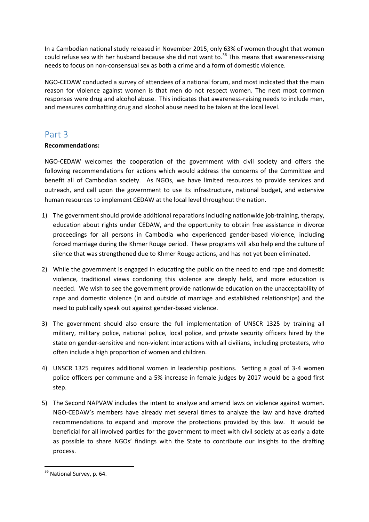In a Cambodian national study released in November 2015, only 63% of women thought that women could refuse sex with her husband because she did not want to.<sup>36</sup> This means that awareness-raising needs to focus on non-consensual sex as both a crime and a form of domestic violence.

NGO-CEDAW conducted a survey of attendees of a national forum, and most indicated that the main reason for violence against women is that men do not respect women. The next most common responses were drug and alcohol abuse. This indicates that awareness-raising needs to include men, and measures combatting drug and alcohol abuse need to be taken at the local level.

# Part 3

## **Recommendations:**

NGO-CEDAW welcomes the cooperation of the government with civil society and offers the following recommendations for actions which would address the concerns of the Committee and benefit all of Cambodian society. As NGOs, we have limited resources to provide services and outreach, and call upon the government to use its infrastructure, national budget, and extensive human resources to implement CEDAW at the local level throughout the nation.

- 1) The government should provide additional reparations including nationwide job-training, therapy, education about rights under CEDAW, and the opportunity to obtain free assistance in divorce proceedings for all persons in Cambodia who experienced gender-based violence, including forced marriage during the Khmer Rouge period. These programs will also help end the culture of silence that was strengthened due to Khmer Rouge actions, and has not yet been eliminated.
- 2) While the government is engaged in educating the public on the need to end rape and domestic violence, traditional views condoning this violence are deeply held, and more education is needed. We wish to see the government provide nationwide education on the unacceptability of rape and domestic violence (in and outside of marriage and established relationships) and the need to publically speak out against gender-based violence.
- 3) The government should also ensure the full implementation of UNSCR 1325 by training all military, military police, national police, local police, and private security officers hired by the state on gender-sensitive and non-violent interactions with all civilians, including protesters, who often include a high proportion of women and children.
- 4) UNSCR 1325 requires additional women in leadership positions. Setting a goal of 3-4 women police officers per commune and a 5% increase in female judges by 2017 would be a good first step.
- 5) The Second NAPVAW includes the intent to analyze and amend laws on violence against women. NGO-CEDAW's members have already met several times to analyze the law and have drafted recommendations to expand and improve the protections provided by this law. It would be beneficial for all involved parties for the government to meet with civil society at as early a date as possible to share NGOs' findings with the State to contribute our insights to the drafting process.

<sup>&</sup>lt;sup>36</sup> National Survey, p. 64.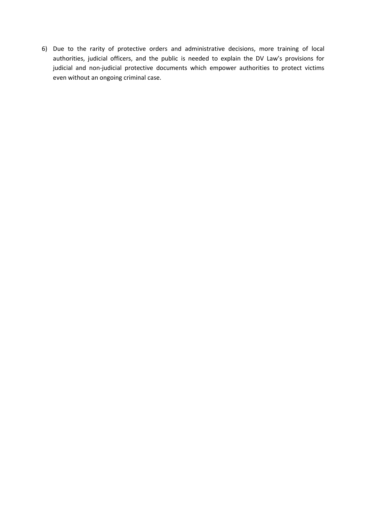6) Due to the rarity of protective orders and administrative decisions, more training of local authorities, judicial officers, and the public is needed to explain the DV Law's provisions for judicial and non-judicial protective documents which empower authorities to protect victims even without an ongoing criminal case.